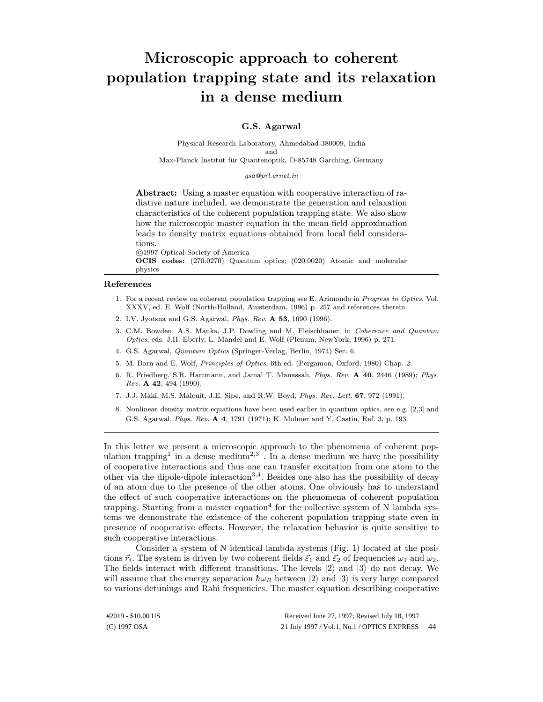## Microscopic approach to coherent population trapping state and its relaxation in a dense medium

## G.S. Agarwal

Physical Research Laboratory, Ahmedabad-380009, India and Max-Planck Institut für Quantenoptik, D-85748 Garching, Germany

## gsa@prl.ernet.in

Abstract: Using a master equation with cooperative interaction of radiative nature included, we demonstrate the generation and relaxation characteristics of the coherent population trapping state. We also show how the microscopic master equation in the mean field approximation leads to density matrix equations obtained from local field considerations.

 c 1997 Optical Society of America OCIS codes: (270.0270) Quantum optics; (020.0020) Atomic and molecular physics

- 1. For a recent review on coherent population trapping see E. Arimondo in Progress in Optics, Vol. XXXV, ed. E. Wolf (North-Holland, Amsterdam, 1996) p. 257 and references therein.
- 2. I.V. Jyotsna and G.S. Agarwal, Phys. Rev. A 53, 1690 (1996).
- 3. C.M. Bowden, A.S. Manka, J.P. Dowling and M. Fleischhauer, in Coherence and Quantum Optics, eds. J.H. Eberly, L. Mandel and E. Wolf (Plenum, NewYork, 1996) p. 271.
- 4. G.S. Agarwal, Quantum Optics (Springer-Verlag, Berlin, 1974) Sec. 6.
- 5. M. Born and E. Wolf, Principles of Optics, 6th ed. (Pergamon, Oxford, 1980) Chap. 2.
- 6. R. Friedberg, S.R. Hartmann, and Jamal T. Manassah, Phys. Rev. A 40, 2446 (1989); Phys. Rev. A 42, 494 (1990).
- 7. J.J. Maki, M.S. Malcuit, J.E. Sipe, and R.W. Boyd, Phys. Rev. Lett. 67, 972 (1991).
- 8. Nonlinear density matrix equations have been used earlier in quantum optics, see e.g. [2,3] and G.S. Agarwal, Phys. Rev. A 4, 1791 (1971); K. Molmer and Y. Castin, Ref. 3, p. 193.

In this letter we present a microscopic approach to the phenomena of coherent population trapping<sup>1</sup> in a dense medium<sup>2,3</sup>. In a dense medium we have the possibility of cooperative interactions and thus one can transfer excitation from one atom to the other via the dipole-dipole interaction<sup>3,4</sup>. Besides one also has the possibility of decay of an atom due to the presence of the other atoms. One obviously has to understand the effect of such cooperative interactions on the phenomena of coherent population trapping. Starting from a master equation<sup>4</sup> for the collective system of N lambda systems we demonstrate the existence of the coherent population trapping state even in presence of cooperative effects. However, the relaxation behavior is quite sensitive to such cooperative interactions.

Consider a system of N identical lambda systems (Fig. 1) located at the positions  $\vec{r_i}$ . The system is driven by two coherent fields  $\vec{\varepsilon}_1$  and  $\vec{\varepsilon}_2$  of frequencies  $\omega_1$  and  $\omega_2$ . The fields interact with different transitions. The levels  $|2\rangle$  and  $|3\rangle$  do not decay. We will assume that the energy separation  $\hbar\omega_R$  between  $|2\rangle$  and  $|3\rangle$  is very large compared to various detunings and Rabi frequencies. The master equation describing cooperative

#2019 - \$10.00 US

(C) 1997 OSA 21 July 1997 / Vol.1, No.1 / OPTICS EXPRESS 44Received June 27, 1997; Revised July 18, 1997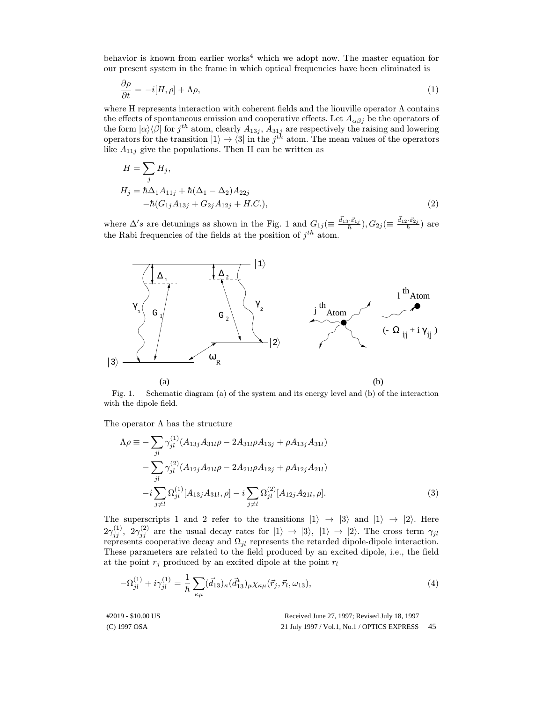behavior is known from earlier works<sup>4</sup> which we adopt now. The master equation for our present system in the frame in which optical frequencies have been eliminated is

$$
\frac{\partial \rho}{\partial t} = -i[H, \rho] + \Lambda \rho,\tag{1}
$$

where H represents interaction with coherent fields and the liouville operator  $\Lambda$  contains the effects of spontaneous emission and cooperative effects. Let  $A_{\alpha\beta j}$  be the operators of the form  $|\alpha\rangle\langle\beta|$  for  $j^{th}$  atom, clearly  $A_{13j}$ ,  $A_{31j}$  are respectively the raising and lowering operators for the transition  $|1\rangle \rightarrow \langle 3|$  in the  $j^{th}$  atom. The mean values of the operators like  $A_{11j}$  give the populations. Then H can be written as

$$
H = \sum_{j} H_{j},
$$
  
\n
$$
H_{j} = \hbar \Delta_{1} A_{11j} + \hbar (\Delta_{1} - \Delta_{2}) A_{22j}
$$
  
\n
$$
-\hbar (G_{1j} A_{13j} + G_{2j} A_{12j} + H.C.),
$$
\n(2)

where  $\Delta's$  are detunings as shown in the Fig. 1 and  $G_{1j} (\equiv \frac{\vec{d}_{13} \cdot \vec{\varepsilon}_{1j}}{\hbar}), G_{2j} (\equiv \frac{\vec{d}_{12} \cdot \vec{\varepsilon}_{2j}}{\hbar})$  are the Rabi frequencies of the fields at the position of  $j^{th}$  atom.



Fig. 1. Schematic diagram (a) of the system and its energy level and (b) of the interaction with the dipole field.

The operator  $\Lambda$  has the structure

$$
\Lambda \rho \equiv -\sum_{jl} \gamma_{jl}^{(1)} (A_{13j} A_{31l} \rho - 2A_{31l} \rho A_{13j} + \rho A_{13j} A_{31l})
$$
  

$$
-\sum_{jl} \gamma_{jl}^{(2)} (A_{12j} A_{21l} \rho - 2A_{21l} \rho A_{12j} + \rho A_{12j} A_{21l})
$$
  

$$
-i \sum_{j \neq l} \Omega_{jl}^{(1)} [A_{13j} A_{31l}, \rho] - i \sum_{j \neq l} \Omega_{jl}^{(2)} [A_{12j} A_{21l}, \rho].
$$
  
(3)

The superscripts 1 and 2 refer to the transitions  $|1\rangle \rightarrow |3\rangle$  and  $|1\rangle \rightarrow |2\rangle$ . Here  $2\gamma_{ij}^{(1)}$ ,  $2\gamma_{ij}^{(2)}$  are the usual decay rates for  $|1\rangle \rightarrow |3\rangle$ ,  $|1\rangle \rightarrow |2\rangle$ . The cross term  $\gamma_{jl}$ represents cooperative decay and  $\Omega_{jl}$  represents the retarded dipole-dipole interaction. These parameters are related to the field produced by an excited dipole, i.e., the field at the point  $r_j$  produced by an excited dipole at the point  $r_l$ 

$$
-\Omega_{jl}^{(1)} + i\gamma_{jl}^{(1)} = \frac{1}{\hbar} \sum_{\kappa\mu} (\vec{d}_{13})_{\kappa} (\vec{d}_{13}^*)_{\mu} \chi_{\kappa\mu} (\vec{r}_j, \vec{r}_l, \omega_{13}), \tag{4}
$$

#2019 - \$10.00 US

Received June 27, 1997; Revised July 18, 1997

(C) 1997 OSA 21 July 1997 / Vol.1, No.1 / OPTICS EXPRESS 45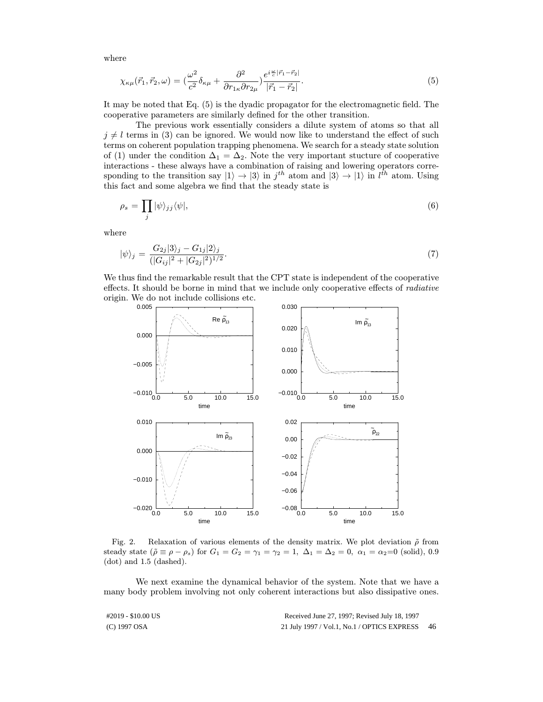where

$$
\chi_{\kappa\mu}(\vec{r}_1,\vec{r}_2,\omega) = \left(\frac{\omega^2}{c^2}\delta_{\kappa\mu} + \frac{\partial^2}{\partial r_{1\kappa}\partial r_{2\mu}}\right)\frac{e^{i\frac{\omega}{c}|\vec{r}_1-\vec{r}_2|}}{|\vec{r}_1-\vec{r}_2|}.\tag{5}
$$

It may be noted that Eq. (5) is the dyadic propagator for the electromagnetic field. The cooperative parameters are similarly defined for the other transition.

The previous work essentially considers a dilute system of atoms so that all  $j \neq l$  terms in (3) can be ignored. We would now like to understand the effect of such terms on coherent population trapping phenomena. We search for a steady state solution of (1) under the condition  $\Delta_1 = \Delta_2$ . Note the very important stucture of cooperative interactions - these always have a combination of raising and lowering operators corresponding to the transition say  $|1\rangle \rightarrow |3\rangle$  in  $j^{th}$  atom and  $|3\rangle \rightarrow |1\rangle$  in  $l^{\hat{t}h}$  atom. Using this fact and some algebra we find that the steady state is

$$
\rho_s = \prod_j |\psi\rangle_{jj} \langle \psi|,\tag{6}
$$

where

$$
|\psi\rangle_j = \frac{G_{2j}|3\rangle_j - G_{1j}|2\rangle_j}{(|G_{ij}|^2 + |G_{2j}|^2)^{1/2}}.
$$
\n(7)

We thus find the remarkable result that the CPT state is independent of the cooperative effects. It should be borne in mind that we include only cooperative effects of radiative origin. We do not include collisions etc.



Fig. 2. Relaxation of various elements of the density matrix. We plot deviation  $\tilde{\rho}$  from steady state  $(\tilde{\rho} \equiv \rho - \rho_s)$  for  $G_1 = G_2 = \gamma_1 = \gamma_2 = 1$ ,  $\Delta_1 = \Delta_2 = 0$ ,  $\alpha_1 = \alpha_2 = 0$  (solid), 0.9 (dot) and 1.5 (dashed).

We next examine the dynamical behavior of the system. Note that we have a many body problem involving not only coherent interactions but also dissipative ones.

| #2019 - \$10.00 US | Received June 27, 1997; Revised July 18, 1997 |     |
|--------------------|-----------------------------------------------|-----|
| (C) 1997 OSA       | 21 July 1997 / Vol.1, No.1 / OPTICS EXPRESS   | -46 |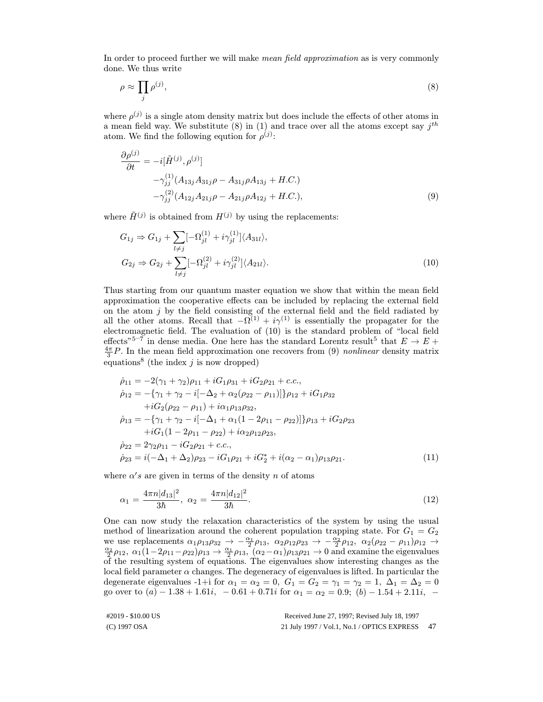In order to proceed further we will make *mean field approximation* as is very commonly done. We thus write

$$
\rho \approx \prod_j \rho^{(j)},\tag{8}
$$

where  $\rho^{(j)}$  is a single atom density matrix but does include the effects of other atoms in a mean field way. We substitute (8) in (1) and trace over all the atoms except say  $j^{th}$ atom. We find the following eqution for  $\rho^{(j)}$ :

$$
\frac{\partial \rho^{(j)}}{\partial t} = -i[\tilde{H}^{(j)}, \rho^{(j)}]
$$
  
\n
$$
-\gamma_{jj}^{(1)}(A_{13j}A_{31j}\rho - A_{31j}\rho A_{13j} + H.C.)
$$
  
\n
$$
-\gamma_{jj}^{(2)}(A_{12j}A_{21j}\rho - A_{21j}\rho A_{12j} + H.C.),
$$
\n(9)

where  $\tilde{H}^{(j)}$  is obtained from  $H^{(j)}$  by using the replacements:

$$
G_{1j} \Rightarrow G_{1j} + \sum_{l \neq j} [-\Omega_{jl}^{(1)} + i\gamma_{jl}^{(1)}] \langle A_{31l} \rangle,
$$
  
\n
$$
G_{2j} \Rightarrow G_{2j} + \sum_{l \neq j} [-\Omega_{jl}^{(2)} + i\gamma_{jl}^{(2)}] \langle A_{21l} \rangle.
$$
\n(10)

Thus starting from our quantum master equation we show that within the mean field approximation the cooperative effects can be included by replacing the external field on the atom  $j$  by the field consisting of the external field and the field radiated by all the other atoms. Recall that  $-\widetilde{\Omega}^{(1)} + i\gamma^{(1)}$  is essentially the propagater for the electromagnetic field. The evaluation of (10) is the standard problem of "local field effects"<sup>5–7</sup> in dense media. One here has the standard Lorentz result<sup>5</sup> that  $E \to E +$  $\frac{4\pi}{3}P$ . In the mean field approximation one recovers from (9) nonlinear density matrix equations<sup>8</sup> (the index  $j$  is now dropped)

$$
\dot{\rho}_{11} = -2(\gamma_1 + \gamma_2)\rho_{11} + iG_1\rho_{31} + iG_2\rho_{21} + c.c.,
$$
\n
$$
\dot{\rho}_{12} = -\{\gamma_1 + \gamma_2 - i[-\Delta_2 + \alpha_2(\rho_{22} - \rho_{11})]\}\rho_{12} + iG_1\rho_{32}
$$
\n
$$
+ iG_2(\rho_{22} - \rho_{11}) + i\alpha_1\rho_{13}\rho_{32},
$$
\n
$$
\dot{\rho}_{13} = -\{\gamma_1 + \gamma_2 - i[-\Delta_1 + \alpha_1(1 - 2\rho_{11} - \rho_{22})]\}\rho_{13} + iG_2\rho_{23}
$$
\n
$$
+ iG_1(1 - 2\rho_{11} - \rho_{22}) + i\alpha_2\rho_{12}\rho_{23},
$$
\n
$$
\dot{\rho}_{22} = 2\gamma_2\rho_{11} - iG_2\rho_{21} + c.c.,
$$
\n
$$
\dot{\rho}_{23} = i(-\Delta_1 + \Delta_2)\rho_{23} - iG_1\rho_{21} + iG_2^* + i(\alpha_2 - \alpha_1)\rho_{13}\rho_{21}. \tag{11}
$$

where  $\alpha's$  are given in terms of the density n of atoms

$$
\alpha_1 = \frac{4\pi n |d_{13}|^2}{3\hbar}, \ \alpha_2 = \frac{4\pi n |d_{12}|^2}{3\hbar}.
$$
\n(12)

One can now study the relaxation characteristics of the system by using the usual method of linearization around the coherent population trapping state. For  $G_1 = G_2$ we use replacements  $\alpha_1 \rho_{13} \rho_{32} \rightarrow -\frac{\alpha_1}{2} \rho_{13}$ ,  $\alpha_2 \rho_{12} \rho_{23} \rightarrow -\frac{\alpha_2}{2} \rho_{12}$ ,  $\alpha_2 (\rho_{22} - \rho_{11}) \rho_{12} \rightarrow \frac{\alpha_2}{2} \rho_{12}$ ,  $\alpha_1 (1-2\rho_{11}-\rho_{22}) \rho_{13} \rightarrow \frac{\alpha_1}{2} \rho_{13}$ ,  $(\alpha_2 - \alpha_1) \rho_{13} \rho_{21} \rightarrow 0$  and e of the resulting system of equations. The eigenvalues show interesting changes as the local field parameter  $\alpha$  changes. The degeneracy of eigenvalues is lifted. In particular the degenerate eigenvalues -1+i for  $\alpha_1 = \alpha_2 = 0$ ,  $G_1 = G_2 = \gamma_1 = \gamma_2 = 1$ ,  $\Delta_1 = \Delta_2 = 0$ go over to  $(a) - 1.38 + 1.61i$ ,  $-0.61 + 0.71i$  for  $\alpha_1 = \alpha_2 = 0.9$ ;  $(b) - 1.54 + 2.11i$ ,  $-$ 

| #2019 - \$10.00 US | Received June 27, 1997; Revised July 18, 1997 |      |
|--------------------|-----------------------------------------------|------|
| (C) 1997 OSA       | 21 July 1997 / Vol.1, No.1 / OPTICS EXPRESS   | - 47 |